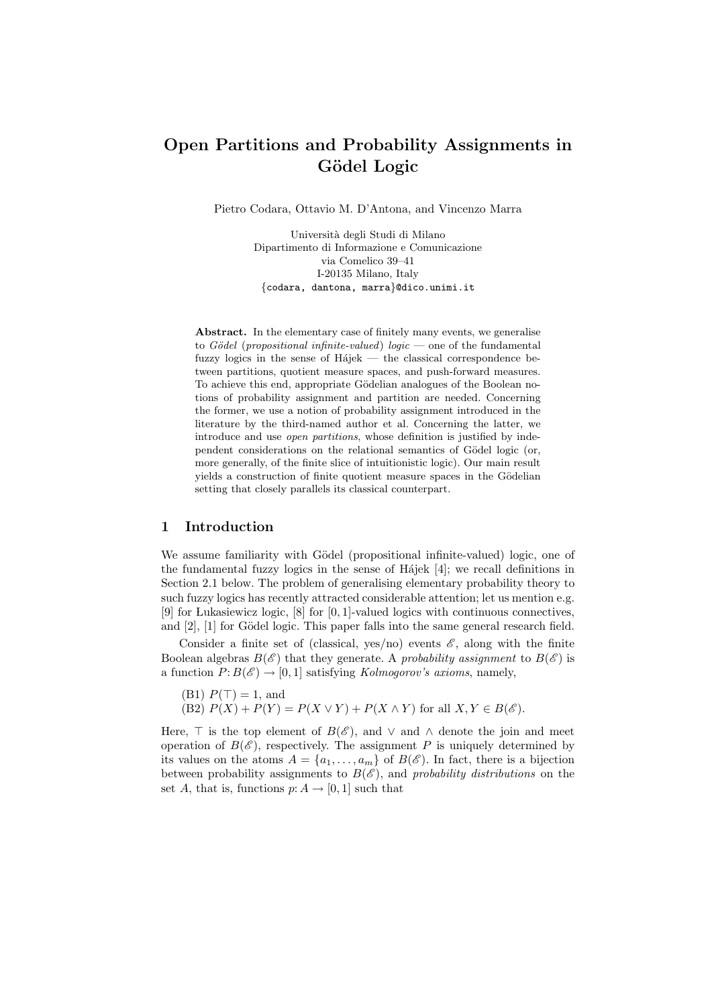# **Open Partitions and Probability Assignments in G¨odel Logic**

Pietro Codara, Ottavio M. D'Antona, and Vincenzo Marra

Universit`a degli Studi di Milano Dipartimento di Informazione e Comunicazione via Comelico 39–41 I-20135 Milano, Italy *{*codara, dantona, marra*}*@dico.unimi.it

**Abstract.** In the elementary case of finitely many events, we generalise to *G¨odel* (*propositional infinite-valued*) *logic* — one of the fundamental fuzzy logics in the sense of  $Hájek$  — the classical correspondence between partitions, quotient measure spaces, and push-forward measures. To achieve this end, appropriate Gödelian analogues of the Boolean notions of probability assignment and partition are needed. Concerning the former, we use a notion of probability assignment introduced in the literature by the third-named author et al. Concerning the latter, we introduce and use *open partitions*, whose definition is justified by independent considerations on the relational semantics of Gödel logic (or, more generally, of the finite slice of intuitionistic logic). Our main result yields a construction of finite quotient measure spaces in the Gödelian setting that closely parallels its classical counterpart.

## **1 Introduction**

We assume familiarity with Gödel (propositional infinite-valued) logic, one of the fundamental fuzzy logics in the sense of H $\delta$ iajek [4]; we recall definitions in Section 2.1 below. The problem of generalising elementary probability theory to such fuzzy logics has recently attracted considerable attention; let us mention e.g. [9] for ÃLukasiewicz logic, [8] for [0*,* 1]-valued logics with continuous connectives, and  $[2]$ ,  $[1]$  for Gödel logic. This paper falls into the same general research field.

Consider a finite set of (classical, yes/no) events  $\mathscr{E}$ , along with the finite Boolean algebras  $B(\mathscr{E})$  that they generate. A *probability assignment* to  $B(\mathscr{E})$  is a function  $P: B(\mathscr{E}) \to [0,1]$  satisfying *Kolmogorov's axioms*, namely,

- (B1)  $P(\top) = 1$ , and
- $\overline{P(X \cap Y)} = P(X \vee Y) + P(X \wedge Y)$  for all  $X, Y \in B(\mathscr{E})$ .

Here,  $\top$  is the top element of  $B(\mathscr{E})$ , and  $\vee$  and  $\wedge$  denote the join and meet operation of  $B(\mathscr{E})$ , respectively. The assignment P is uniquely determined by its values on the atoms  $A = \{a_1, \ldots, a_m\}$  of  $B(\mathscr{E})$ . In fact, there is a bijection between probability assignments to  $B(\mathscr{E})$ , and *probability distributions* on the set *A*, that is, functions  $p: A \rightarrow [0, 1]$  such that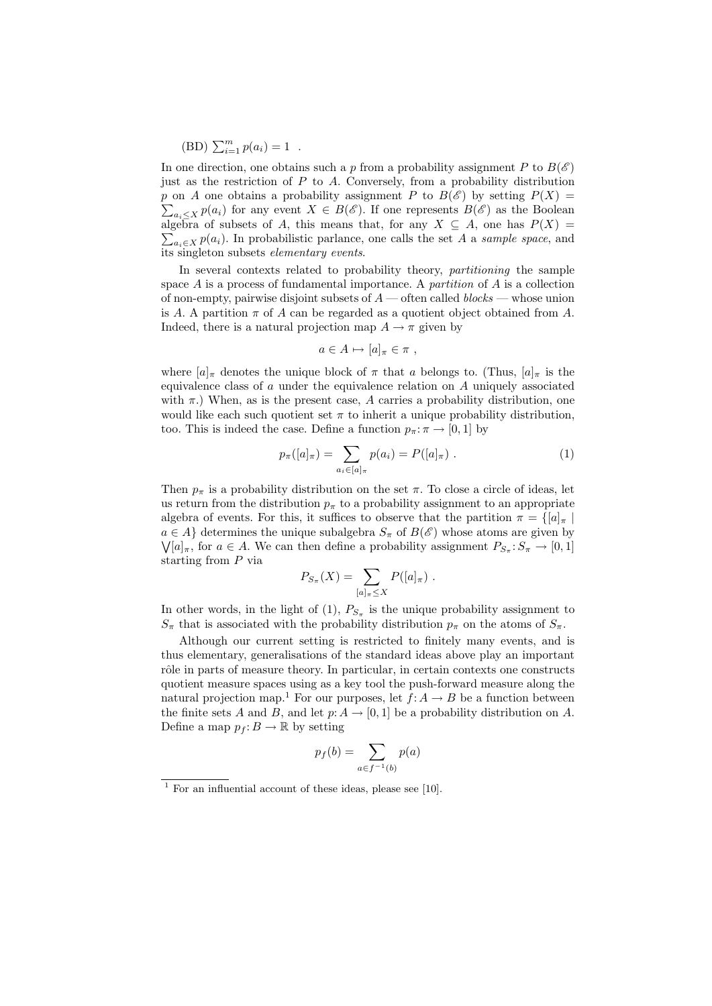$(BD) \sum_{i=1}^{m} p(a_i) = 1$ .

In one direction, one obtains such a *p* from a probability assignment *P* to  $B(\mathscr{E})$ just as the restriction of *P* to *A*. Conversely, from a probability distribution *p* on *A* one obtains a probability assignment *P* to  $B(\mathscr{E})$  by setting  $P(X) =$  $\sum_{a_i \leq X} p(a_i)$  for any event  $X \in B(\mathscr{E})$ . If one represents  $B(\mathscr{E})$  as the Boolean algebra of subsets of A, this means that, for any  $X \subseteq A$ , one has  $P(X) =$  $\sum_{a_i \in X} p(a_i)$ . In probabilistic parlance, one calls the set *A* a *sample space*, and its singleton subsets *elementary events*.

In several contexts related to probability theory, *partitioning* the sample space *A* is a process of fundamental importance. A *partition* of *A* is a collection of non-empty, pairwise disjoint subsets of *A* — often called *blocks* — whose union is *A*. A partition  $\pi$  of *A* can be regarded as a quotient object obtained from *A*. Indeed, there is a natural projection map  $A \rightarrow \pi$  given by

$$
a\in A\mapsto [a]_{\pi}\in \pi ,
$$

where  $[a]_\pi$  denotes the unique block of  $\pi$  that  $a$  belongs to. (Thus,  $[a]_\pi$  is the equivalence class of *a* under the equivalence relation on *A* uniquely associated with  $\pi$ .) When, as is the present case, A carries a probability distribution, one would like each such quotient set  $\pi$  to inherit a unique probability distribution, too. This is indeed the case. Define a function  $p_{\pi} : \pi \to [0, 1]$  by

$$
p_{\pi}([a]_{\pi}) = \sum_{a_i \in [a]_{\pi}} p(a_i) = P([a]_{\pi}). \tag{1}
$$

Then  $p_{\pi}$  is a probability distribution on the set  $\pi$ . To close a circle of ideas, let us return from the distribution  $p_{\pi}$  to a probability assignment to an appropriate algebra of events. For this, it suffices to observe that the partition  $\pi = \{ [a]_\pi \mid$  $a \in A$ <sup>}</sup> determines the unique subalgebra  $S_{\pi}$  of  $B(\mathscr{E})$  whose atoms are given by  $\bigvee [a]_{\pi}$ , for  $a \in A$ . We can then define a probability assignment  $P_{S_{\pi}}: S_{\pi} \to [0,1]$ starting from *P* via

$$
P_{S_{\pi}}(X) = \sum_{[a]_{\pi} \leq X} P([a]_{\pi}) .
$$

In other words, in the light of  $(1)$ ,  $P_{S_{\pi}}$  is the unique probability assignment to  $S_{\pi}$  that is associated with the probability distribution  $p_{\pi}$  on the atoms of  $S_{\pi}$ .

Although our current setting is restricted to finitely many events, and is thus elementary, generalisations of the standard ideas above play an important rôle in parts of measure theory. In particular, in certain contexts one constructs quotient measure spaces using as a key tool the push-forward measure along the natural projection map.<sup>1</sup> For our purposes, let  $f: A \rightarrow B$  be a function between the finite sets *A* and *B*, and let  $p: A \to [0, 1]$  be a probability distribution on *A*. Define a map  $p_f: B \to \mathbb{R}$  by setting

$$
p_f(b) = \sum_{a \in f^{-1}(b)} p(a)
$$

<sup>&</sup>lt;sup>1</sup> For an influential account of these ideas, please see [10].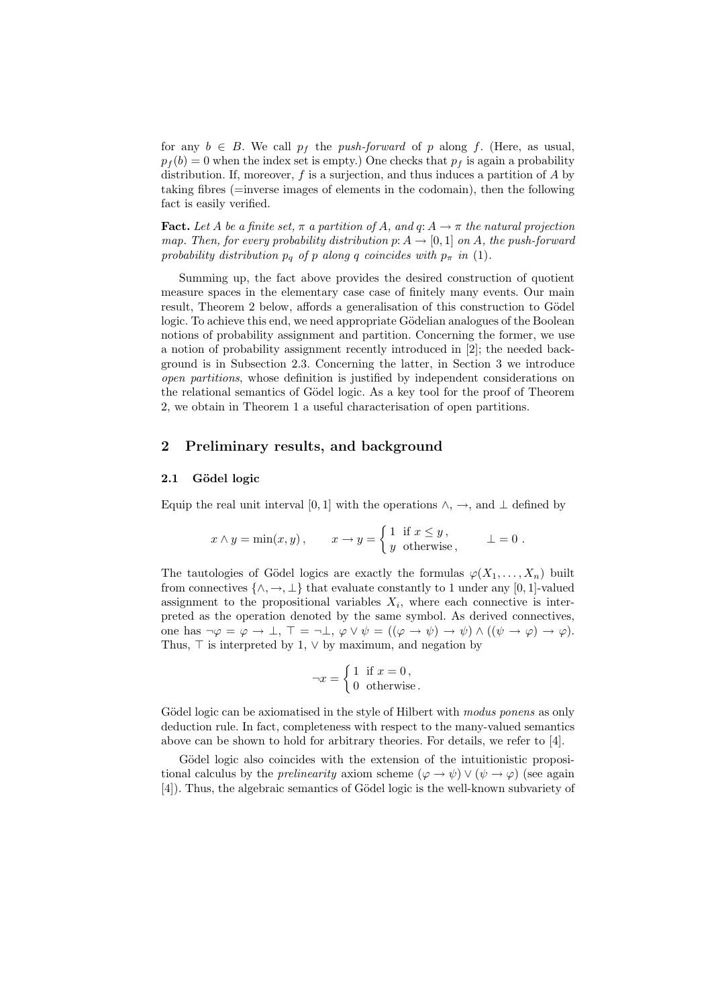for any  $b \in B$ . We call  $p_f$  the *push-forward* of *p* along *f*. (Here, as usual,  $p_f(b) = 0$  when the index set is empty.) One checks that  $p_f$  is again a probability distribution. If, moreover, *f* is a surjection, and thus induces a partition of *A* by taking fibres (=inverse images of elements in the codomain), then the following fact is easily verified.

**Fact.** Let *A* be a finite set,  $\pi$  a partition of *A*, and  $q: A \rightarrow \pi$  the natural projection *map. Then, for every probability distribution*  $p: A \rightarrow [0, 1]$  *on A, the push-forward probability distribution*  $p_q$  *of*  $p$  *along*  $q$  *coincides with*  $p_\pi$  *in* (1)*.* 

Summing up, the fact above provides the desired construction of quotient measure spaces in the elementary case case of finitely many events. Our main result, Theorem 2 below, affords a generalisation of this construction to Gödel logic. To achieve this end, we need appropriate Gödelian analogues of the Boolean notions of probability assignment and partition. Concerning the former, we use a notion of probability assignment recently introduced in [2]; the needed background is in Subsection 2.3. Concerning the latter, in Section 3 we introduce *open partitions*, whose definition is justified by independent considerations on the relational semantics of Gödel logic. As a key tool for the proof of Theorem 2, we obtain in Theorem 1 a useful characterisation of open partitions.

## **2 Preliminary results, and background**

#### 2.1 Gödel logic

Equip the real unit interval [0, 1] with the operations  $\land$ ,  $\rightarrow$ , and  $\perp$  defined by

$$
x \wedge y = \min(x, y),
$$
  $x \to y = \begin{cases} 1 & \text{if } x \leq y, \\ y & \text{otherwise,} \end{cases} \qquad \perp = 0.$ 

The tautologies of Gödel logics are exactly the formulas  $\varphi(X_1, \ldots, X_n)$  built from connectives  $\{\wedge, \rightarrow, \perp\}$  that evaluate constantly to 1 under any [0, 1]-valued assignment to the propositional variables  $X_i$ , where each connective is interpreted as the operation denoted by the same symbol. As derived connectives, one has  $\neg \varphi = \varphi \rightarrow \bot$ ,  $\top = \neg \bot$ ,  $\varphi \vee \psi = ((\varphi \rightarrow \psi) \rightarrow \psi) \wedge ((\psi \rightarrow \varphi) \rightarrow \varphi)$ . Thus,  $\top$  is interpreted by 1,  $\vee$  by maximum, and negation by

$$
\neg x = \begin{cases} 1 & \text{if } x = 0, \\ 0 & \text{otherwise.} \end{cases}
$$

Gödel logic can be axiomatised in the style of Hilbert with *modus ponens* as only deduction rule. In fact, completeness with respect to the many-valued semantics above can be shown to hold for arbitrary theories. For details, we refer to [4].

Gödel logic also coincides with the extension of the intuitionistic propositional calculus by the *prelinearity* axiom scheme  $(\varphi \to \psi) \vee (\psi \to \varphi)$  (see again [4]). Thus, the algebraic semantics of Gödel logic is the well-known subvariety of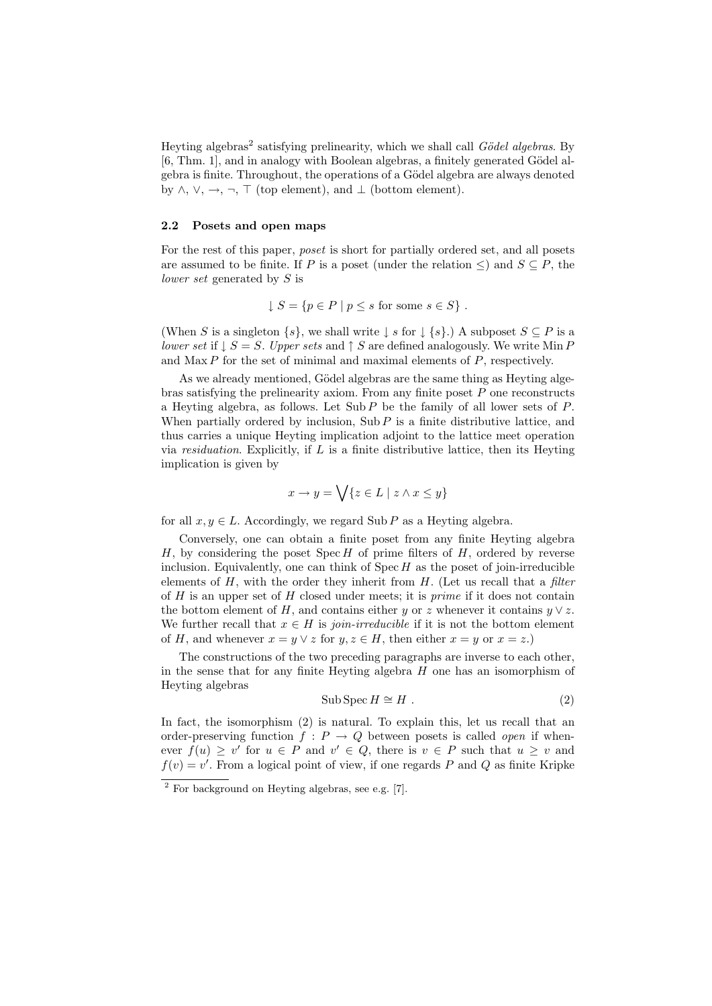Heyting algebras<sup>2</sup> satisfying prelinearity, which we shall call *Gödel algebras*. By  $[6, Thm. 1]$ , and in analogy with Boolean algebras, a finitely generated Gödel algebra is finite. Throughout, the operations of a Gödel algebra are always denoted by  $\land$ ,  $\lor$ ,  $\rightarrow$ ,  $\neg$ ,  $\top$  (top element), and  $\bot$  (bottom element).

#### **2.2 Posets and open maps**

For the rest of this paper, *poset* is short for partially ordered set, and all posets are assumed to be finite. If *P* is a poset (under the relation  $\leq$ ) and  $S \subseteq P$ , the *lower set* generated by *S* is

$$
\downarrow S = \{ p \in P \mid p \le s \text{ for some } s \in S \} .
$$

(When *S* is a singleton  $\{s\}$ , we shall write  $\downarrow s$  for  $\downarrow \{s\}$ .) A subposet  $S \subseteq P$  is a *lower set* if  $\downarrow$  *S* = *S*. *Upper sets* and  $\uparrow$  *S* are defined analogously. We write Min *P* and Max *P* for the set of minimal and maximal elements of *P*, respectively.

As we already mentioned, Gödel algebras are the same thing as Heyting algebras satisfying the prelinearity axiom. From any finite poset *P* one reconstructs a Heyting algebra, as follows. Let Sub *P* be the family of all lower sets of *P*. When partially ordered by inclusion,  $\text{Sub } P$  is a finite distributive lattice, and thus carries a unique Heyting implication adjoint to the lattice meet operation via *residuation*. Explicitly, if *L* is a finite distributive lattice, then its Heyting implication is given by

$$
x \to y = \bigvee \{ z \in L \mid z \wedge x \le y \}
$$

for all  $x, y \in L$ . Accordingly, we regard Sub *P* as a Heyting algebra.

Conversely, one can obtain a finite poset from any finite Heyting algebra *H*, by considering the poset Spec *H* of prime filters of *H*, ordered by reverse inclusion. Equivalently, one can think of  $Spec H$  as the poset of join-irreducible elements of *H*, with the order they inherit from *H*. (Let us recall that a *filter* of *H* is an upper set of *H* closed under meets; it is *prime* if it does not contain the bottom element of *H*, and contains either *y* or *z* whenever it contains  $y \vee z$ . We further recall that  $x \in H$  is *join-irreducible* if it is not the bottom element of *H*, and whenever  $x = y \lor z$  for  $y, z \in H$ , then either  $x = y$  or  $x = z$ .)

The constructions of the two preceding paragraphs are inverse to each other, in the sense that for any finite Heyting algebra *H* one has an isomorphism of Heyting algebras

$$
Sub \, \text{Spec} \, H \cong H \, . \tag{2}
$$

In fact, the isomorphism (2) is natural. To explain this, let us recall that an order-preserving function  $f : P \to Q$  between posets is called *open* if whenever  $f(u) \geq v'$  for  $u \in P$  and  $v' \in Q$ , there is  $v \in P$  such that  $u \geq v$  and  $f(v) = v'$ . From a logical point of view, if one regards *P* and *Q* as finite Kripke

 $\overline{a^2}$  For background on Heyting algebras, see e.g. [7].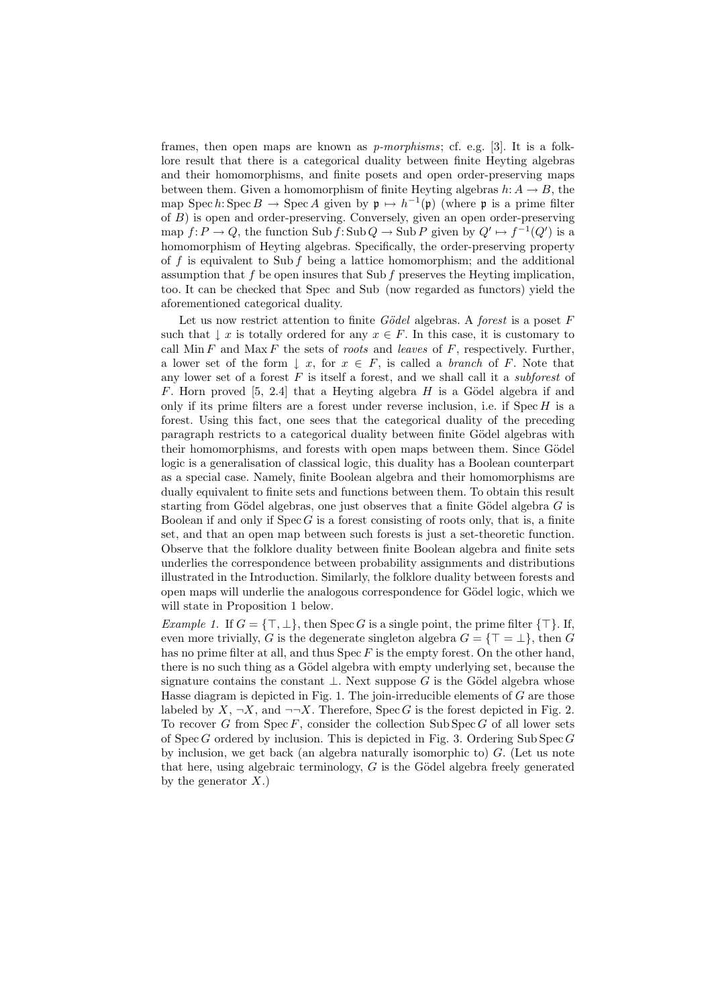frames, then open maps are known as *p-morphisms*; cf. e.g. [3]. It is a folklore result that there is a categorical duality between finite Heyting algebras and their homomorphisms, and finite posets and open order-preserving maps between them. Given a homomorphism of finite Heyting algebras  $h: A \rightarrow B$ , the map Spec *h*: Spec *B*  $\rightarrow$  Spec *A* given by  $\mathfrak{p} \mapsto h^{-1}(\mathfrak{p})$  (where  $\mathfrak{p}$  is a prime filter of *B*) is open and order-preserving. Conversely, given an open order-preserving map  $f: P \to Q$ , the function Sub  $f: Sub Q \to Sub P$  given by  $Q' \mapsto f^{-1}(Q')$  is a homomorphism of Heyting algebras. Specifically, the order-preserving property of *f* is equivalent to Sub *f* being a lattice homomorphism; and the additional assumption that *f* be open insures that Sub *f* preserves the Heyting implication, too. It can be checked that Spec and Sub (now regarded as functors) yield the aforementioned categorical duality.

Let us now restrict attention to finite *Gödel* algebras. A *forest* is a poset *F* such that  $\downarrow x$  is totally ordered for any  $x \in F$ . In this case, it is customary to call Min *F* and Max *F* the sets of *roots* and *leaves* of *F*, respectively. Further, a lower set of the form  $\downarrow x$ , for  $x \in F$ , is called a *branch* of *F*. Note that any lower set of a forest *F* is itself a forest, and we shall call it a *subforest* of *F*. Horn proved [5, 2.4] that a Heyting algebra *H* is a Gödel algebra if and only if its prime filters are a forest under reverse inclusion, i.e. if Spec *H* is a forest. Using this fact, one sees that the categorical duality of the preceding paragraph restricts to a categorical duality between finite Gödel algebras with their homomorphisms, and forests with open maps between them. Since Gödel logic is a generalisation of classical logic, this duality has a Boolean counterpart as a special case. Namely, finite Boolean algebra and their homomorphisms are dually equivalent to finite sets and functions between them. To obtain this result starting from Gödel algebras, one just observes that a finite Gödel algebra  $G$  is Boolean if and only if Spec *G* is a forest consisting of roots only, that is, a finite set, and that an open map between such forests is just a set-theoretic function. Observe that the folklore duality between finite Boolean algebra and finite sets underlies the correspondence between probability assignments and distributions illustrated in the Introduction. Similarly, the folklore duality between forests and open maps will underlie the analogous correspondence for Gödel logic, which we will state in Proposition 1 below.

*Example 1.* If  $G = \{\top, \bot\}$ , then Spec *G* is a single point, the prime filter  $\{\top\}$ . If, even more trivially, *G* is the degenerate singleton algebra  $G = \{T = \bot\}$ , then *G* has no prime filter at all, and thus Spec *F* is the empty forest. On the other hand, there is no such thing as a Gödel algebra with empty underlying set, because the signature contains the constant  $\perp$ . Next suppose G is the Gödel algebra whose Hasse diagram is depicted in Fig. 1. The join-irreducible elements of *G* are those labeled by  $X, \neg X$ , and  $\neg\neg X$ . Therefore, Spec *G* is the forest depicted in Fig. 2. To recover  $G$  from  $Spec F$ , consider the collection  $Sub Spec G$  of all lower sets of Spec *G* ordered by inclusion. This is depicted in Fig. 3. Ordering Sub Spec *G* by inclusion, we get back (an algebra naturally isomorphic to) *G*. (Let us note that here, using algebraic terminology,  $G$  is the Gödel algebra freely generated by the generator *X*.)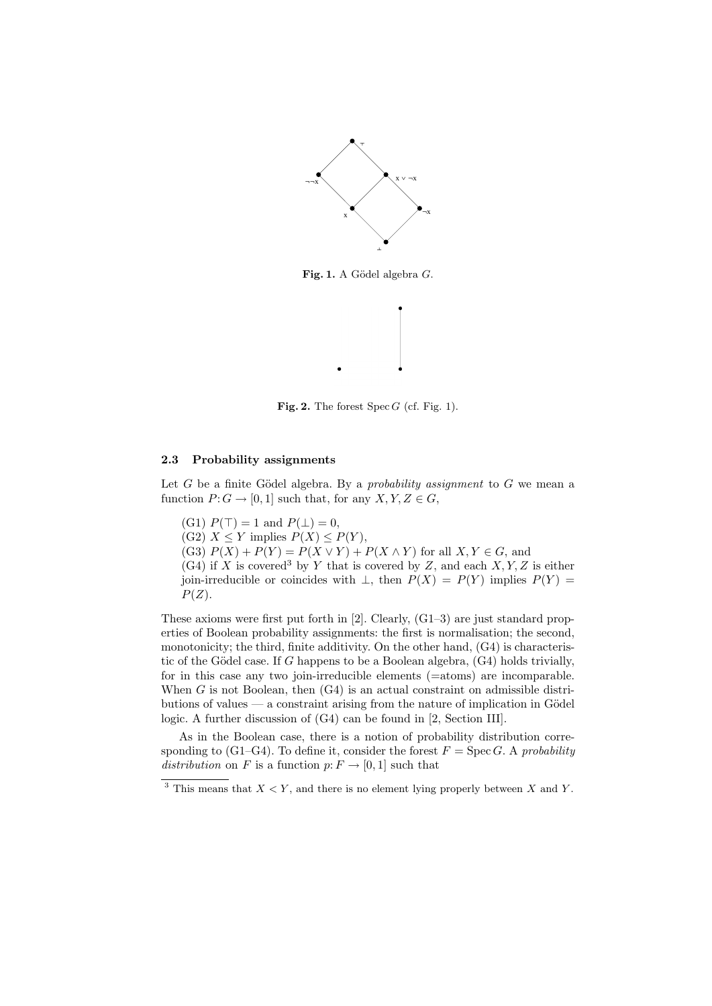

Fig. 1. A Gödel algebra *G*.



# **2.3 Probability assignments**

Let  $G$  be a finite Gödel algebra. By a *probability assignment* to  $G$  we mean a function  $P: G \to [0,1]$  such that, for any  $X, Y, Z \in G$ ,

**Fig. 2.** The forest Spec *G* (cf. Fig. 1).

- (G1)  $P(\top) = 1$  and  $P(\bot) = 0$ ,
- $(C3)$   $X \leq Y$  implies  $P(X) \leq P(Y)$ ,
- (G3)  $P(X) + P(Y) = P(X \vee Y) + P(X \wedge Y)$  for all  $X, Y \in G$ , and
- $(G4)$  if *X* is covered<sup>3</sup> by *Y* that is covered by *Z*, and each *X,Y,Z* is either join-irreducible or coincides with  $\bot$ , then  $P(X) = P(Y)$  implies  $P(Y) =$ *P*(*Z*).

These axioms were first put forth in [2]. Clearly, (G1–3) are just standard properties of Boolean probability assignments: the first is normalisation; the second, monotonicity; the third, finite additivity. On the other hand, (G4) is characteristic of the Gödel case. If  $G$  happens to be a Boolean algebra,  $(G4)$  holds trivially, for in this case any two join-irreducible elements (=atoms) are incomparable. When *G* is not Boolean, then (G4) is an actual constraint on admissible distributions of values — a constraint arising from the nature of implication in Gödel logic. A further discussion of (G4) can be found in [2, Section III].

As in the Boolean case, there is a notion of probability distribution corresponding to (G1–G4). To define it, consider the forest  $F = \text{Spec } G$ . A *probability distribution* on *F* is a function  $p: F \to [0, 1]$  such that

 $3$  This means that  $X \leq Y$ , and there is no element lying properly between X and Y.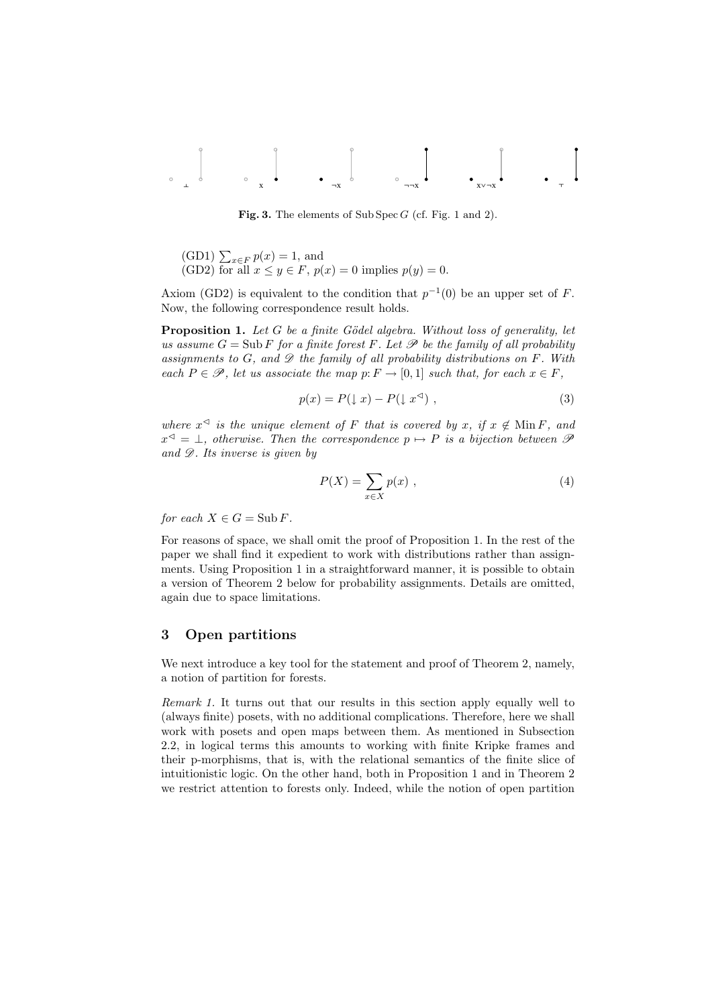¦ x Øx ØØx xîØx §

**Fig. 3.** The elements of Sub Spec *G* (cf. Fig. 1 and 2).

(GD1) 
$$
\sum_{x \in F} p(x) = 1
$$
, and  
(GD2) for all  $x \le y \in F$ ,  $p(x) = 0$  implies  $p(y) = 0$ .

Axiom (GD2) is equivalent to the condition that  $p^{-1}(0)$  be an upper set of *F*. Now, the following correspondence result holds.

**Proposition 1.** *Let G be a finite Gödel algebra. Without loss of generality, let us assume*  $G = Sub F$  *for a finite forest*  $F$ *. Let*  $\mathscr P$  *be the family of all probability assignments to G, and D the family of all probability distributions on F. With each*  $P \in \mathcal{P}$ *, let us associate the map*  $p: F \to [0, 1]$  *such that, for each*  $x \in F$ *,* 

$$
p(x) = P(\downarrow x) - P(\downarrow x^{\triangleleft}) \tag{3}
$$

*where*  $x^{\triangleleft}$  *is the unique element of F that is covered by x, if*  $x \notin M$  *in F, and*  $x^{\triangleleft} = \bot$ , otherwise. Then the correspondence  $p \mapsto P$  is a bijection between  $\mathscr P$ *and D. Its inverse is given by*

$$
P(X) = \sum_{x \in X} p(x) \tag{4}
$$

*for each*  $X \in G = Sub F$ *.* 

For reasons of space, we shall omit the proof of Proposition 1. In the rest of the paper we shall find it expedient to work with distributions rather than assignments. Using Proposition 1 in a straightforward manner, it is possible to obtain a version of Theorem 2 below for probability assignments. Details are omitted, again due to space limitations.

# **3 Open partitions**

We next introduce a key tool for the statement and proof of Theorem 2, namely, a notion of partition for forests.

*Remark 1.* It turns out that our results in this section apply equally well to (always finite) posets, with no additional complications. Therefore, here we shall work with posets and open maps between them. As mentioned in Subsection 2.2, in logical terms this amounts to working with finite Kripke frames and their p-morphisms, that is, with the relational semantics of the finite slice of intuitionistic logic. On the other hand, both in Proposition 1 and in Theorem 2 we restrict attention to forests only. Indeed, while the notion of open partition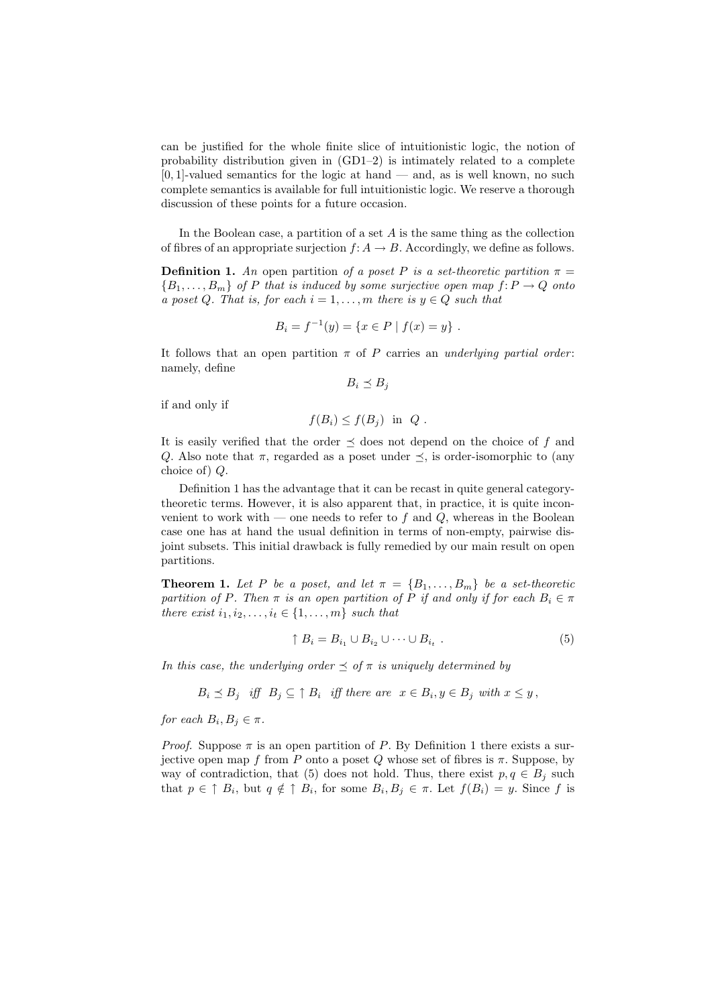can be justified for the whole finite slice of intuitionistic logic, the notion of probability distribution given in  $(GD1-2)$  is intimately related to a complete [0*,* 1]-valued semantics for the logic at hand — and, as is well known, no such complete semantics is available for full intuitionistic logic. We reserve a thorough discussion of these points for a future occasion.

In the Boolean case, a partition of a set *A* is the same thing as the collection of fibres of an appropriate surjection  $f: A \to B$ . Accordingly, we define as follows.

**Definition 1.** An open partition of a poset P is a set-theoretic partition  $\pi$  =  ${B_1, \ldots, B_m}$  *of P that is induced by some surjective open map*  $f: P \to Q$  *onto a* poset *Q.* That is, for each  $i = 1, \ldots, m$  *there is*  $y \in Q$  *such that* 

$$
B_i = f^{-1}(y) = \{x \in P \mid f(x) = y\}.
$$

It follows that an open partition  $\pi$  of  $P$  carries an *underlying partial order*: namely, define

 $B_i \preceq B_j$ 

if and only if

 $f(B_i) \leq f(B_i)$  in *Q*.

It is easily verified that the order  $\preceq$  does not depend on the choice of f and *Q*. Also note that  $\pi$ , regarded as a poset under  $\preceq$ , is order-isomorphic to (any choice of) *Q*.

Definition 1 has the advantage that it can be recast in quite general categorytheoretic terms. However, it is also apparent that, in practice, it is quite inconvenient to work with — one needs to refer to  $f$  and  $Q$ , whereas in the Boolean case one has at hand the usual definition in terms of non-empty, pairwise disjoint subsets. This initial drawback is fully remedied by our main result on open partitions.

**Theorem 1.** Let P be a poset, and let  $\pi = \{B_1, \ldots, B_m\}$  be a set-theoretic *partition of P. Then*  $\pi$  *is an open partition of*  $\tilde{P}$  *if and only if for each*  $B_i \in \pi$ *there exist*  $i_1, i_2, \ldots, i_t \in \{1, \ldots, m\}$  *such that* 

$$
\uparrow B_i = B_{i_1} \cup B_{i_2} \cup \cdots \cup B_{i_t} . \tag{5}
$$

*In this case, the underlying order*  $\preceq$  *of*  $\pi$  *is uniquely determined by* 

$$
B_i \preceq B_j \quad \text{iff} \quad B_j \subseteq \uparrow B_i \quad \text{iff there are} \quad x \in B_i, y \in B_j \text{ with } x \leq y \,,
$$

*for each*  $B_i, B_j \in \pi$ .

*Proof.* Suppose  $\pi$  is an open partition of *P*. By Definition 1 there exists a surjective open map *f* from *P* onto a poset *Q* whose set of fibres is  $\pi$ . Suppose, by way of contradiction, that (5) does not hold. Thus, there exist  $p, q \in B_i$  such that  $p \in \uparrow B_i$ , but  $q \notin \uparrow B_i$ , for some  $B_i, B_j \in \pi$ . Let  $f(B_i) = y$ . Since f is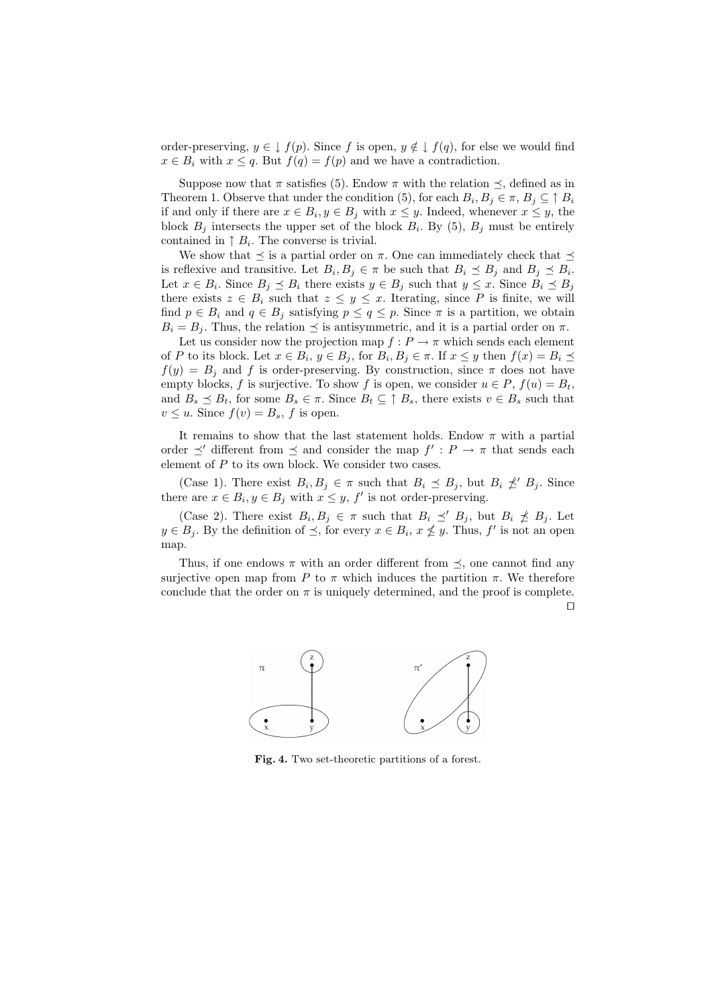order-preserving,  $y \in \downarrow f(p)$ . Since f is open,  $y \notin \downarrow f(q)$ , for else we would find  $x \in B_i$  with  $x \leq q$ . But  $f(q) = f(p)$  and we have a contradiction.

Suppose now that  $\pi$  satisfies (5). Endow  $\pi$  with the relation  $\preceq$ , defined as in Theorem 1. Observe that under the condition (5), for each  $B_i, B_j \in \pi, B_j \subseteq \uparrow B_i$ if and only if there are  $x \in B_i$ ,  $y \in B_j$  with  $x \leq y$ . Indeed, whenever  $x \leq y$ , the block  $B_j$  intersects the upper set of the block  $B_i$ . By (5),  $B_j$  must be entirely contained in  $\uparrow B_i$ . The converse is trivial.

We show that  $\prec$  is a partial order on  $\pi$ . One can immediately check that  $\prec$ is reflexive and transitive. Let  $B_i, B_j \in \pi$  be such that  $B_i \preceq B_j$  and  $B_j \preceq B_i$ . Let  $x \in B_i$ . Since  $B_j \preceq B_i$  there exists  $y \in B_j$  such that  $y \leq x$ . Since  $B_i \preceq B_j$ there exists  $z \in B_i$  such that  $z \leq y \leq x$ . Iterating, since P is finite, we will find  $p \in B_i$  and  $q \in B_j$  satisfying  $p \le q \le p$ . Since  $\pi$  is a partition, we obtain  $B_i = B_j$ . Thus, the relation  $\preceq$  is antisymmetric, and it is a partial order on  $\pi$ .

Let us consider now the projection map  $f: P \rightarrow \pi$  which sends each element of P to its block. Let  $x \in B_i$ ,  $y \in B_j$ , for  $B_i, B_j \in \pi$ . If  $x \leq y$  then  $f(x) = B_i \preceq$  $f(y) = B_j$  and *f* is order-preserving. By construction, since  $\pi$  does not have empty blocks, *f* is surjective. To show *f* is open, we consider  $u \in P$ ,  $f(u) = B_t$ , and  $B_s \preceq B_t$ , for some  $B_s \in \pi$ . Since  $B_t \subseteq \uparrow B_s$ , there exists  $v \in B_s$  such that  $v \leq u$ . Since  $f(v) = B_s$ , *f* is open.

It remains to show that the last statement holds. Endow  $\pi$  with a partial order  $\preceq'$  different from  $\preceq$  and consider the map  $f': P \to \pi$  that sends each element of *P* to its own block. We consider two cases.

(Case 1). There exist  $B_i, B_j \in \pi$  such that  $B_i \preceq B_j$ , but  $B_i \npreceq' B_j$ . Since there are  $x \in B_i, y \in B_j$  with  $x \leq y$ ,  $f'$  is not order-preserving.

(Case 2). There exist  $B_i, B_j \in \pi$  such that  $B_i \preceq' B_j$ , but  $B_i \npreceq B_j$ . Let  $y \in B_j$ . By the definition of  $\preceq$ , for every  $x \in B_i$ ,  $x \nleq y$ . Thus,  $f'$  is not an open map.

Thus, if one endows  $\pi$  with an order different from  $\preceq$ , one cannot find any surjective open map from *P* to  $\pi$  which induces the partition  $\pi$ . We therefore conclude that the order on  $\pi$  is uniquely determined, and the proof is complete.





**Fig. 4.** Two set-theoretic partitions of a forest.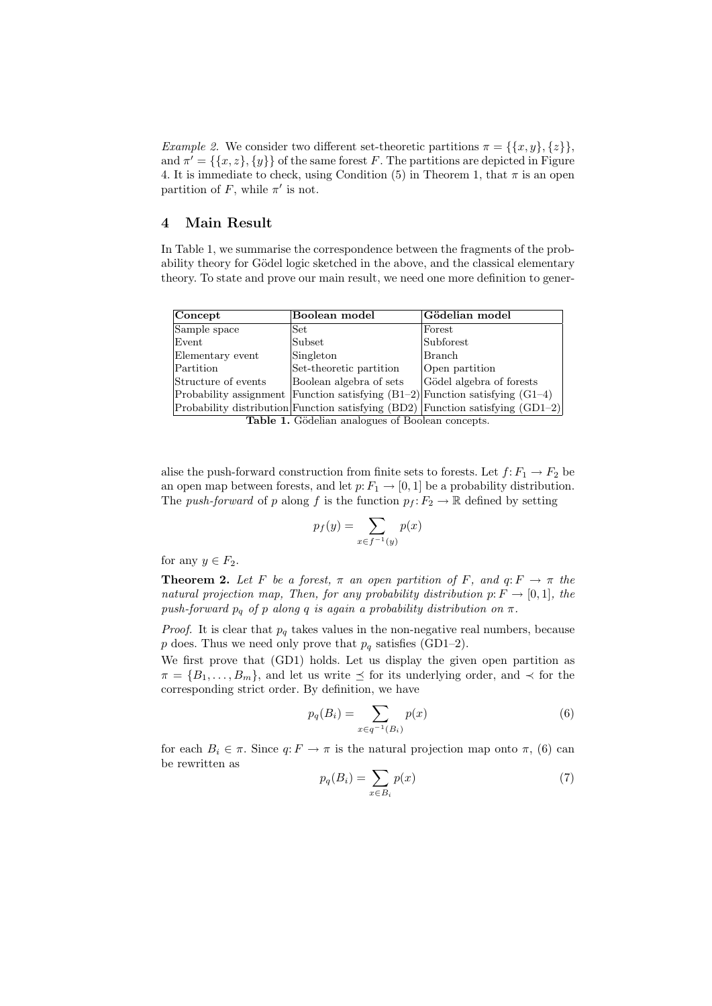*Example 2.* We consider two different set-theoretic partitions  $\pi = \{\{x, y\}, \{z\}\},\$ and  $\pi' = \{\{x, z\}, \{y\}\}\$  of the same forest *F*. The partitions are depicted in Figure 4. It is immediate to check, using Condition  $(5)$  in Theorem 1, that  $\pi$  is an open partition of  $F$ , while  $\pi'$  is not.

## **4 Main Result**

In Table 1, we summarise the correspondence between the fragments of the probability theory for Gödel logic sketched in the above, and the classical elementary theory. To state and prove our main result, we need one more definition to gener-

| Concept             | Boolean model           | Gödelian model                                                                     |
|---------------------|-------------------------|------------------------------------------------------------------------------------|
| Sample space        | Set                     | Forest                                                                             |
| Event               | Subset                  | Subforest                                                                          |
| Elementary event    | Singleton               | Branch                                                                             |
| Partition           | Set-theoretic partition | Open partition                                                                     |
| Structure of events | Boolean algebra of sets | Gödel algebra of forests                                                           |
|                     |                         | Probability assignment Function satisfying $(B1-2)$ Function satisfying $(G1-4)$   |
|                     |                         | Probability distribution Function satisfying $(BD2)$ Function satisfying $(GD1-2)$ |

**Table 1.** Gödelian analogues of Boolean concepts.

alise the push-forward construction from finite sets to forests. Let  $f: F_1 \to F_2$  be an open map between forests, and let  $p: F_1 \to [0, 1]$  be a probability distribution. The *push-forward* of *p* along *f* is the function  $p_f: F_2 \to \mathbb{R}$  defined by setting

$$
p_f(y) = \sum_{x \in f^{-1}(y)} p(x)
$$

for any  $y \in F_2$ .

**Theorem 2.** Let F be a forest,  $\pi$  an open partition of F, and  $q: F \to \pi$  the *natural projection map, Then, for any probability distribution*  $p: F \to [0,1]$ *, the push-forward*  $p_q$  *of*  $p$  *along*  $q$  *is again a probability distribution on*  $\pi$ *.* 

*Proof.* It is clear that  $p_q$  takes values in the non-negative real numbers, because *p* does. Thus we need only prove that  $p_q$  satisfies (GD1–2).

We first prove that (GD1) holds. Let us display the given open partition as  $\pi = \{B_1, \ldots, B_m\}$ , and let us write  $\preceq$  for its underlying order, and  $\prec$  for the corresponding strict order. By definition, we have

$$
p_q(B_i) = \sum_{x \in q^{-1}(B_i)} p(x)
$$
 (6)

for each  $B_i \in \pi$ . Since  $q: F \to \pi$  is the natural projection map onto  $\pi$ , (6) can be rewritten as

$$
p_q(B_i) = \sum_{x \in B_i} p(x) \tag{7}
$$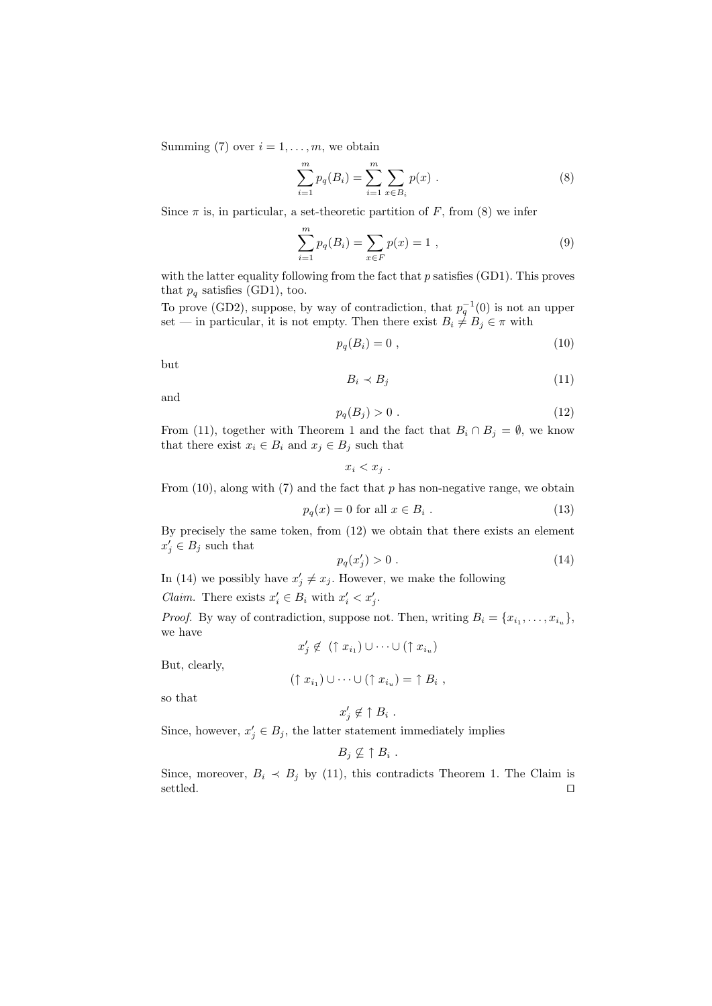Summing (7) over  $i = 1, \ldots, m$ , we obtain

$$
\sum_{i=1}^{m} p_q(B_i) = \sum_{i=1}^{m} \sum_{x \in B_i} p(x) .
$$
 (8)

Since  $\pi$  is, in particular, a set-theoretic partition of  $F$ , from (8) we infer

$$
\sum_{i=1}^{m} p_q(B_i) = \sum_{x \in F} p(x) = 1 , \qquad (9)
$$

with the latter equality following from the fact that *p* satisfies (GD1). This proves that  $p_q$  satisfies (GD1), too.

To prove (GD2), suppose, by way of contradiction, that  $p_q^{-1}(0)$  is not an upper set — in particular, it is not empty. Then there exist  $B_i \neq B_j \in \pi$  with

$$
p_q(B_i) = 0 \t\t(10)
$$

but

$$
B_i \prec B_j \tag{11}
$$

and

$$
p_q(B_j) > 0 \tag{12}
$$

From (11), together with Theorem 1 and the fact that  $B_i \cap B_j = \emptyset$ , we know that there exist  $x_i \in B_i$  and  $x_j \in B_j$  such that

$$
x_i < x_j .
$$

From (10), along with (7) and the fact that *p* has non-negative range, we obtain

$$
p_q(x) = 0 \text{ for all } x \in B_i. \tag{13}
$$

By precisely the same token, from (12) we obtain that there exists an element  $x'_j \in B_j$  such that

$$
p_q(x_j') > 0 \tag{14}
$$

In (14) we possibly have  $x'_{j} \neq x_{j}$ . However, we make the following

*Claim.* There exists  $x'_i \in B_i$  with  $x'_i < x'_j$ .

*Proof.* By way of contradiction, suppose not. Then, writing  $B_i = \{x_{i_1}, \ldots, x_{i_u}\}\,$ we have

$$
x'_j \notin (\uparrow x_{i_1}) \cup \cdots \cup (\uparrow x_{i_u})
$$

But, clearly,

$$
(\uparrow x_{i_1}) \cup \cdots \cup (\uparrow x_{i_u}) = \uparrow B_i ,
$$

so that

$$
x'_j \notin \uparrow B_i .
$$

Since, however,  $x'_{j} \in B_{j}$ , the latter statement immediately implies

$$
B_j \nsubseteq \uparrow B_i
$$

*.*

Since, moreover,  $B_i \prec B_j$  by (11), this contradicts Theorem 1. The Claim is settled.